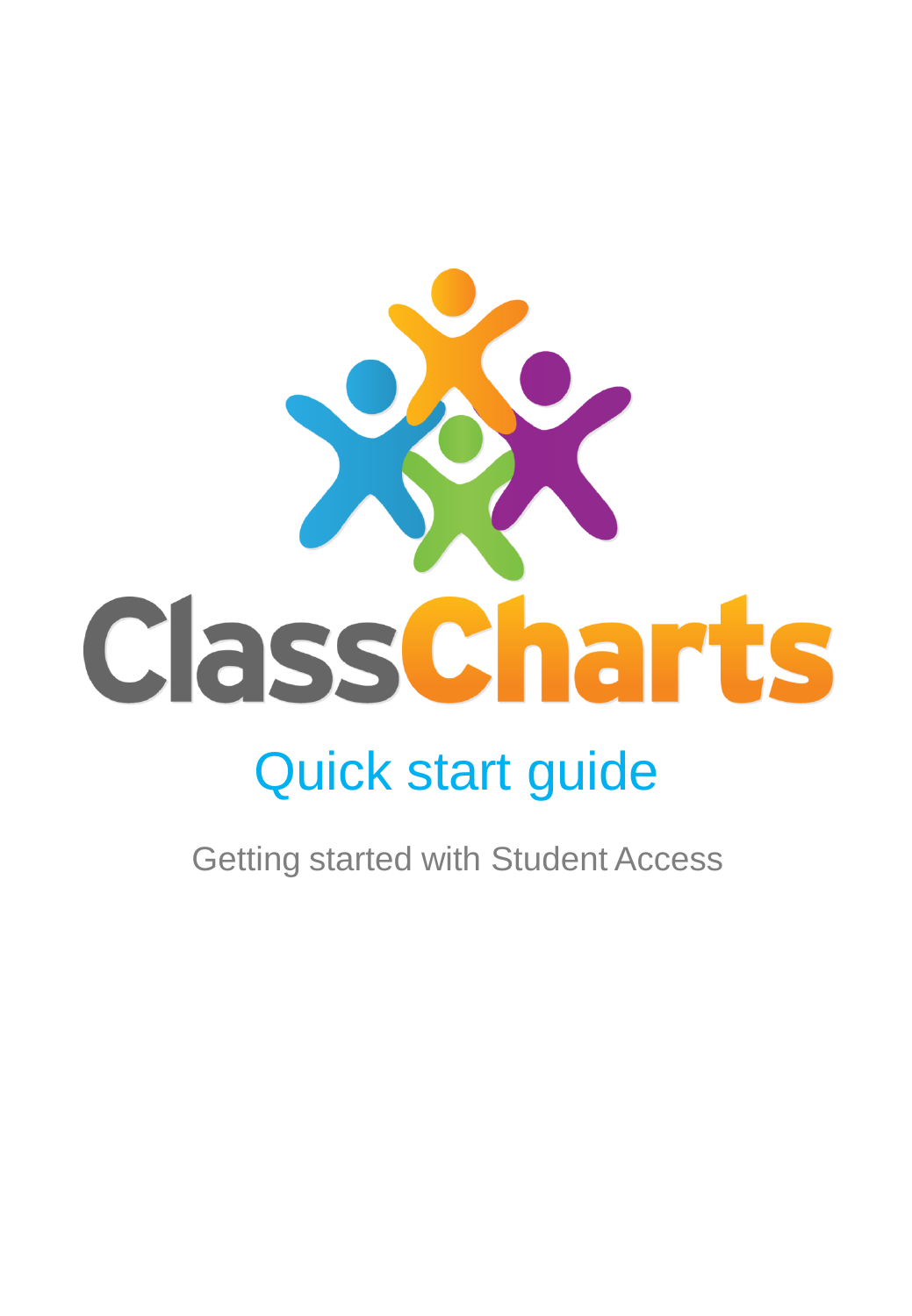

# Quick start guide

Getting started with Student Access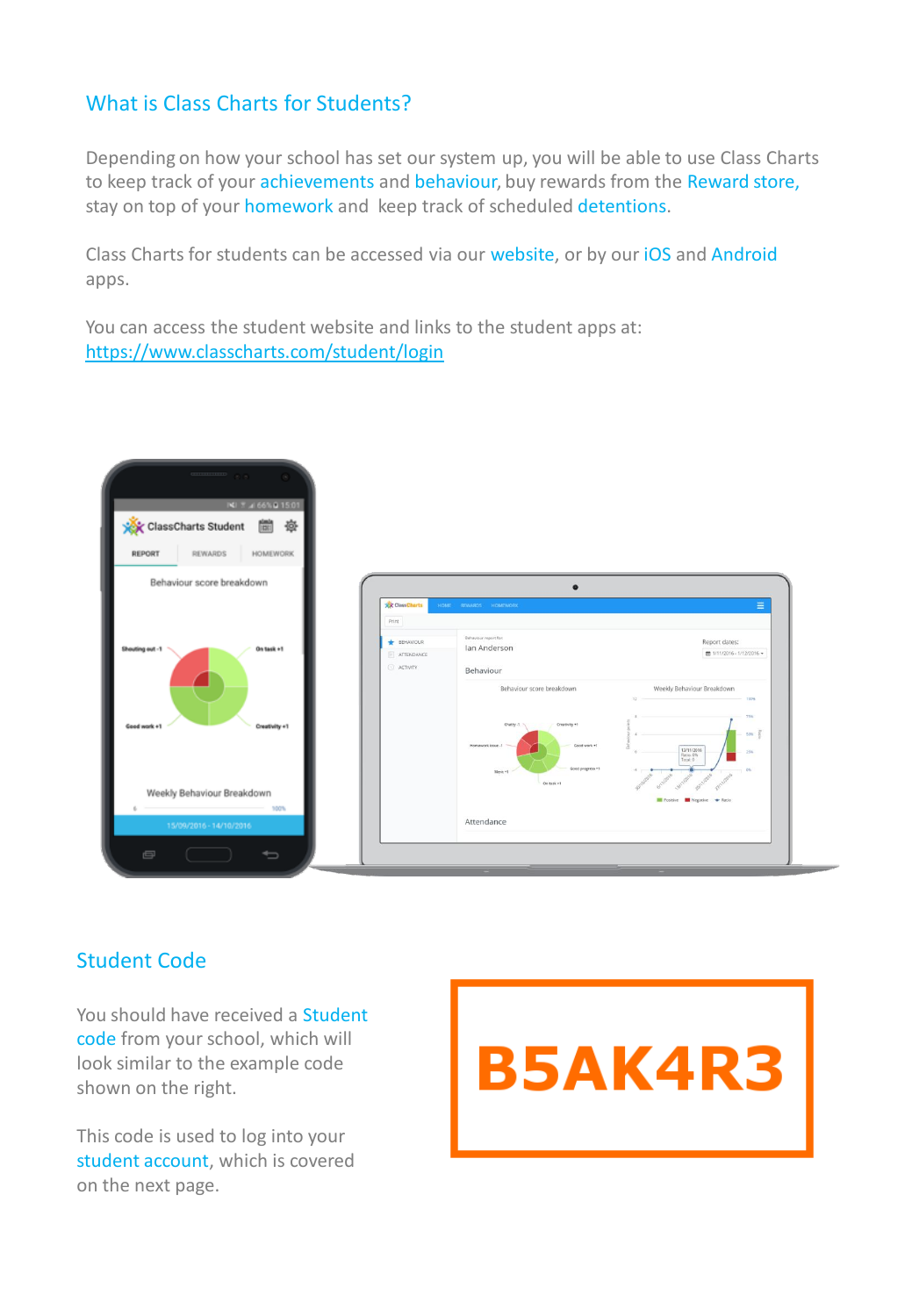#### What is Class Charts for Students?

Depending on how your school has set our system up, you will be able to use Class Charts to keep track of your achievements and behaviour, buy rewards from the Reward store, stay on top of your homework and keep track of scheduled detentions.

Class Charts for students can be accessed via our website, or by our iOS and Android apps.

You can access the student website and links to the student apps at: <https://www.classcharts.com/student/login>

| <b>INI 7 4 66% 0 15:01</b><br>ClassCharts Student<br>彜<br>圜    |                                                                              |                                                                                                                                                                                                                           |                                                                                                                                                                         |
|----------------------------------------------------------------|------------------------------------------------------------------------------|---------------------------------------------------------------------------------------------------------------------------------------------------------------------------------------------------------------------------|-------------------------------------------------------------------------------------------------------------------------------------------------------------------------|
| REWARDS<br><b>HOMEWORK</b><br>REPORT                           |                                                                              |                                                                                                                                                                                                                           |                                                                                                                                                                         |
| Behaviour score breakdown                                      |                                                                              | $\bullet$                                                                                                                                                                                                                 |                                                                                                                                                                         |
| Shouting out -1<br>On task +1<br>Good work +1<br>Creativity +1 | <b>XX ClassCharts</b><br>Print<br><b>BEHAVIOUR</b><br>ATTENDANCE<br>ACTIVITY | HOME REWARDS HOMEWORK<br>Behaviour report for:<br>Ian Anderson<br>Behaviour<br>Behaviour score breakdown<br>Creativity +1<br>Chatty -1<br>Homework issue -1<br>Good work +1<br>Good progress +1<br>Merit +1<br>On task +1 | ≡<br>Report dates:<br>曲 1/11/2016 - 1/12/2016 -<br>Weekly Behaviour Breakdown<br>32<br>100%<br><b>75%</b><br>50%<br>13/11/2016<br>25%<br>Ratio: 0%<br>Total: 0<br>$-0%$ |
| Weekly Behaviour Breakdown<br>100%<br>15/09/2016 - 14/10/2016  |                                                                              | Attendance                                                                                                                                                                                                                | Positive <b>In Negative</b> + Ratio                                                                                                                                     |

#### Student Code

You should have received a Student code from your school, which will look similar to the example code shown on the right.

This code is used to log into your student account, which is covered on the next page.

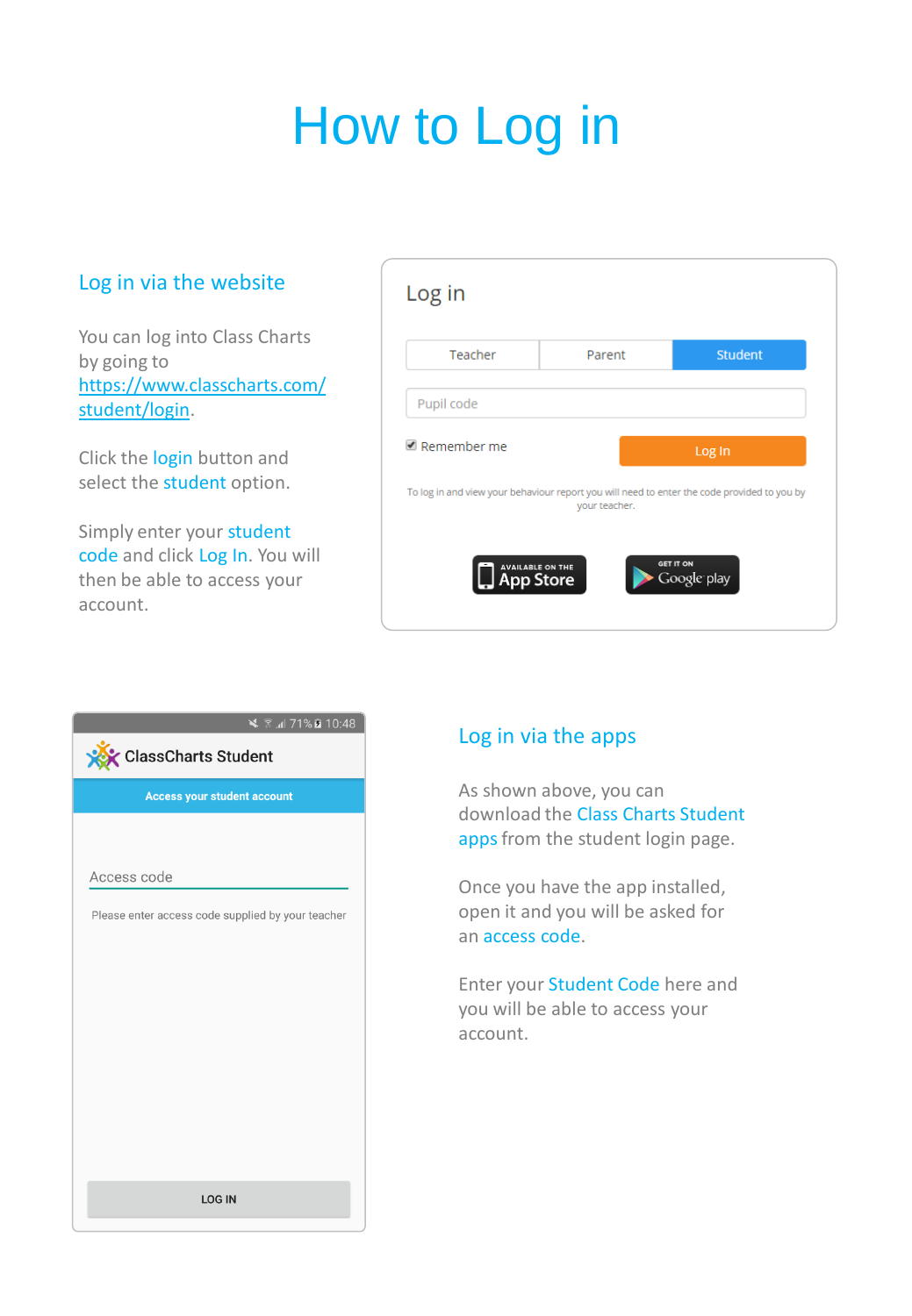# How to Log in

#### Log in via the website

You can log into Class Charts by going to [https://www.classcharts.com/](https://www.classcharts.com/student/login) [student/login.](https://www.classcharts.com/student/login)

Click the login button and select the student option.

Simply enter your student code and click Log In. You will then be able to access your account.

| Log in                                      |               |                                                                                             |  |
|---------------------------------------------|---------------|---------------------------------------------------------------------------------------------|--|
| Teacher                                     | Parent        | <b>Student</b>                                                                              |  |
| Pupil code                                  |               |                                                                                             |  |
| $\blacksquare$ Remember me                  |               | Log In                                                                                      |  |
|                                             | your teacher. | To log in and view your behaviour report you will need to enter the code provided to you by |  |
| <b>AVAILABLE ON THE</b><br><b>App Store</b> |               | GET IT ON<br>Google play                                                                    |  |



#### Log in via the apps

As shown above, you can download the Class Charts Student apps from the student login page.

Once you have the app installed, open it and you will be asked for an access code.

Enter your Student Code here and you will be able to access your account.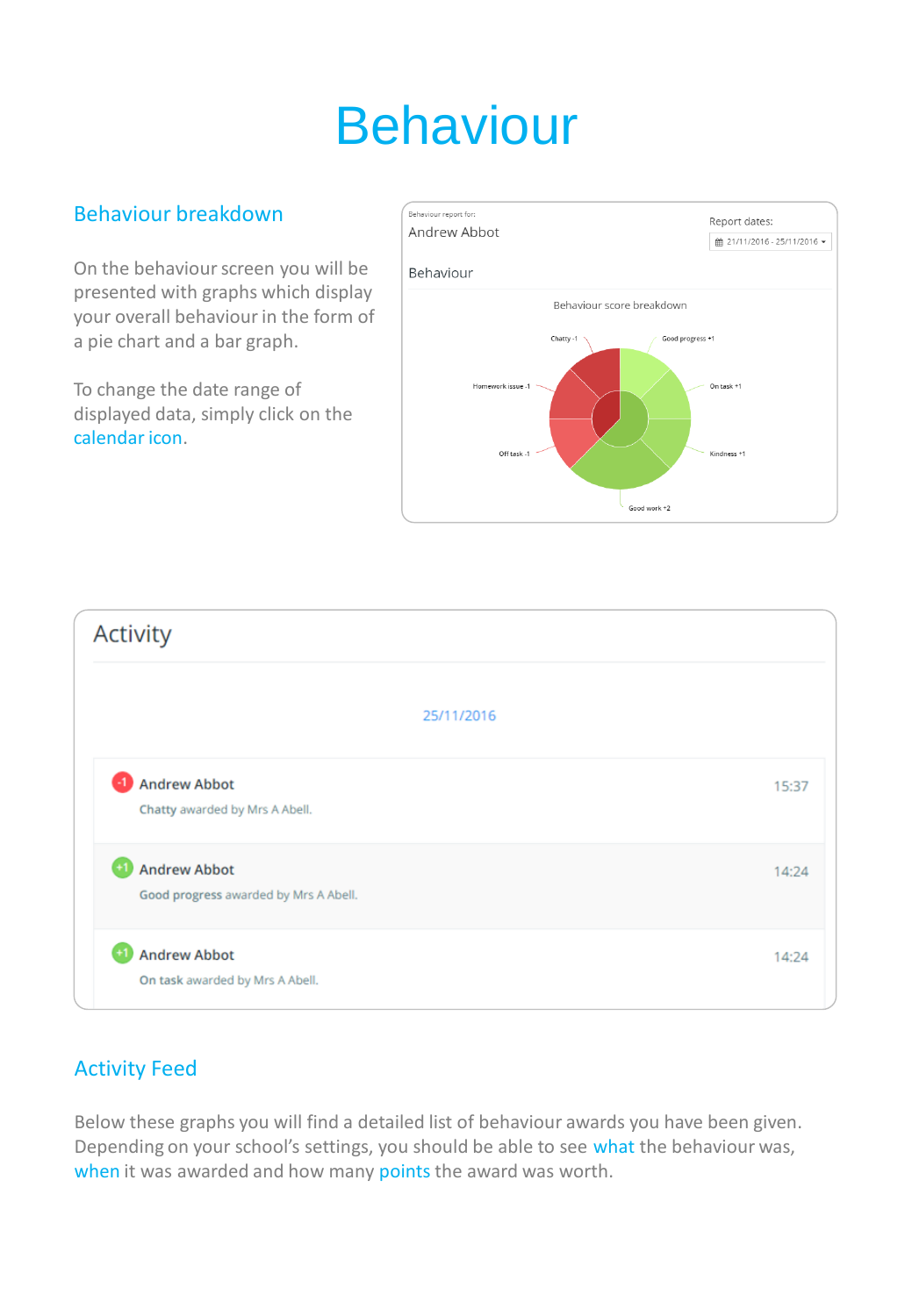# Behaviour

#### Behaviour breakdown

On the behaviour screen you will be presented with graphs which display your overall behaviour in the form of a pie chart and a bar graph.

To change the date range of displayed data, simply click on the calendar icon.





#### Activity Feed

Below these graphs you will find a detailed list of behaviour awards you have been given. Depending on your school's settings, you should be able to see what the behaviour was, when it was awarded and how many points the award was worth.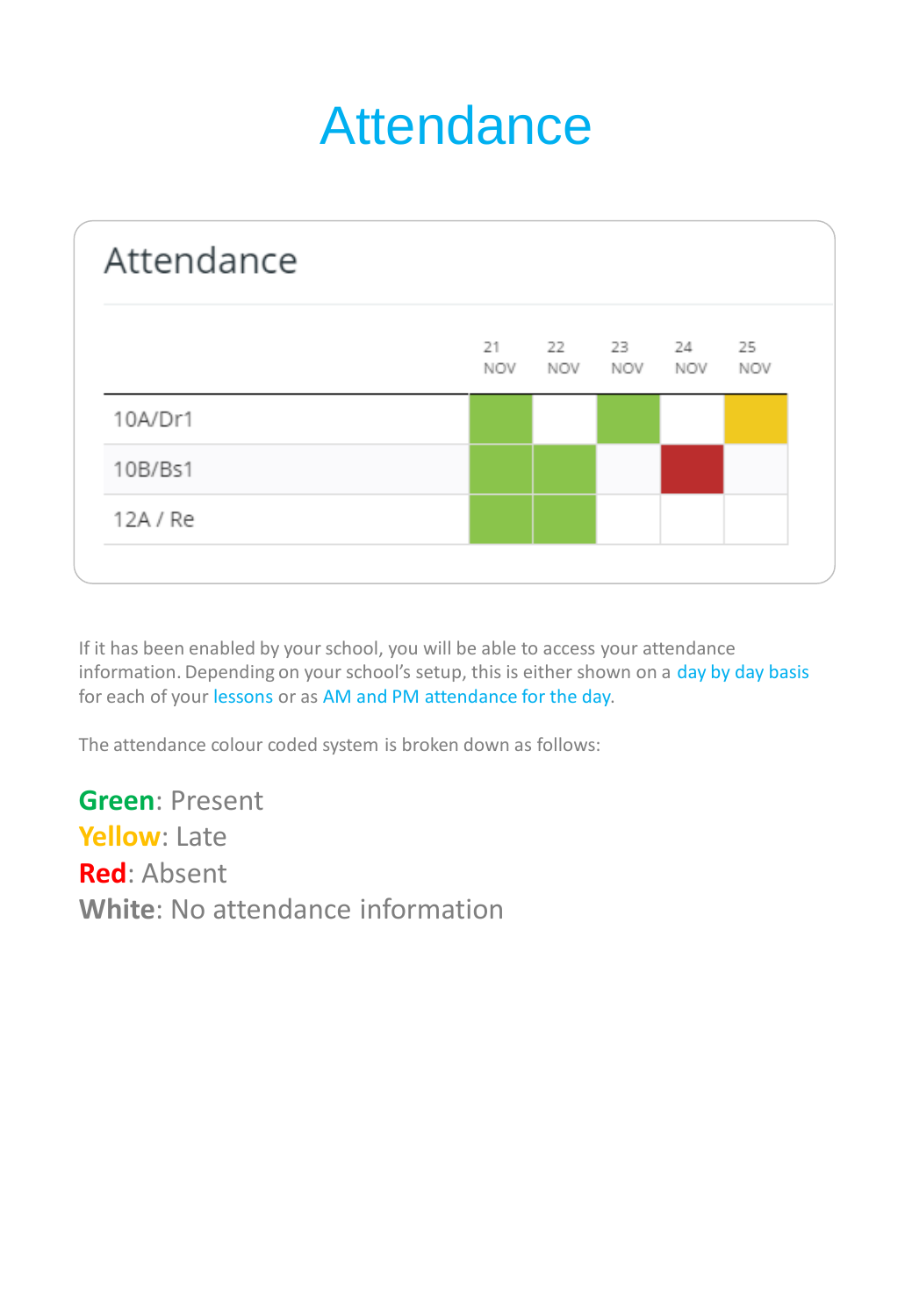## **Attendance**



If it has been enabled by your school, you will be able to access your attendance information. Depending on your school's setup, this is either shown on a day by day basis for each of your lessons or as AM and PM attendance for the day.

The attendance colour coded system is broken down as follows:

**Green**: Present **Yellow**: Late **Red**: Absent **White**: No attendance information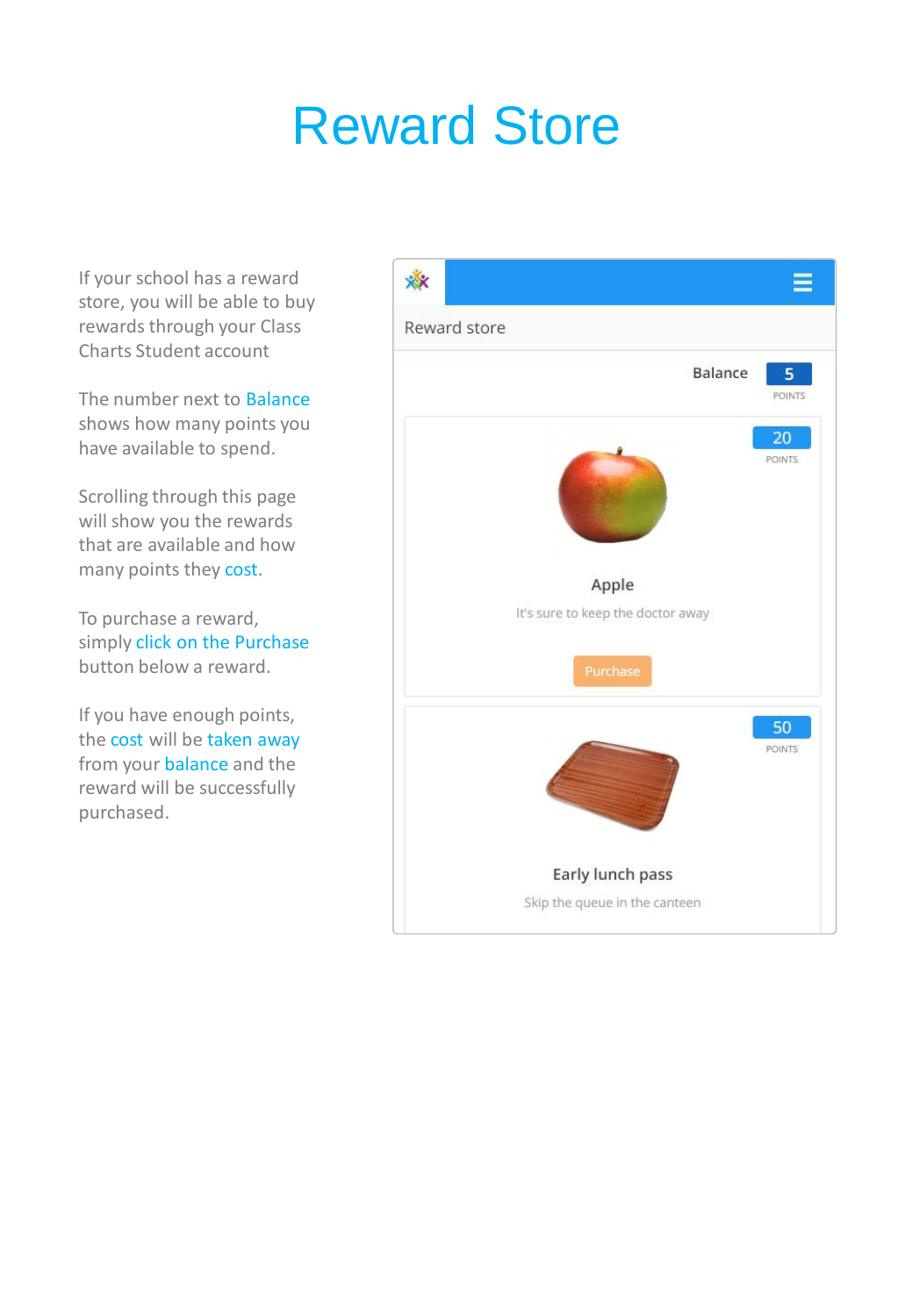## Reward Store

If your school has a reward store, you will be able to buy rewards through your Class Charts Student account

The number next to Balance shows how many points you have available to spend.

Scrolling through this page will show you the rewards that are available and how many points they cost.

To purchase a reward, simply click on the Purchase button below a reward.

If you have enough points, the cost will be taken away from your balance and the reward will be successfully purchased.

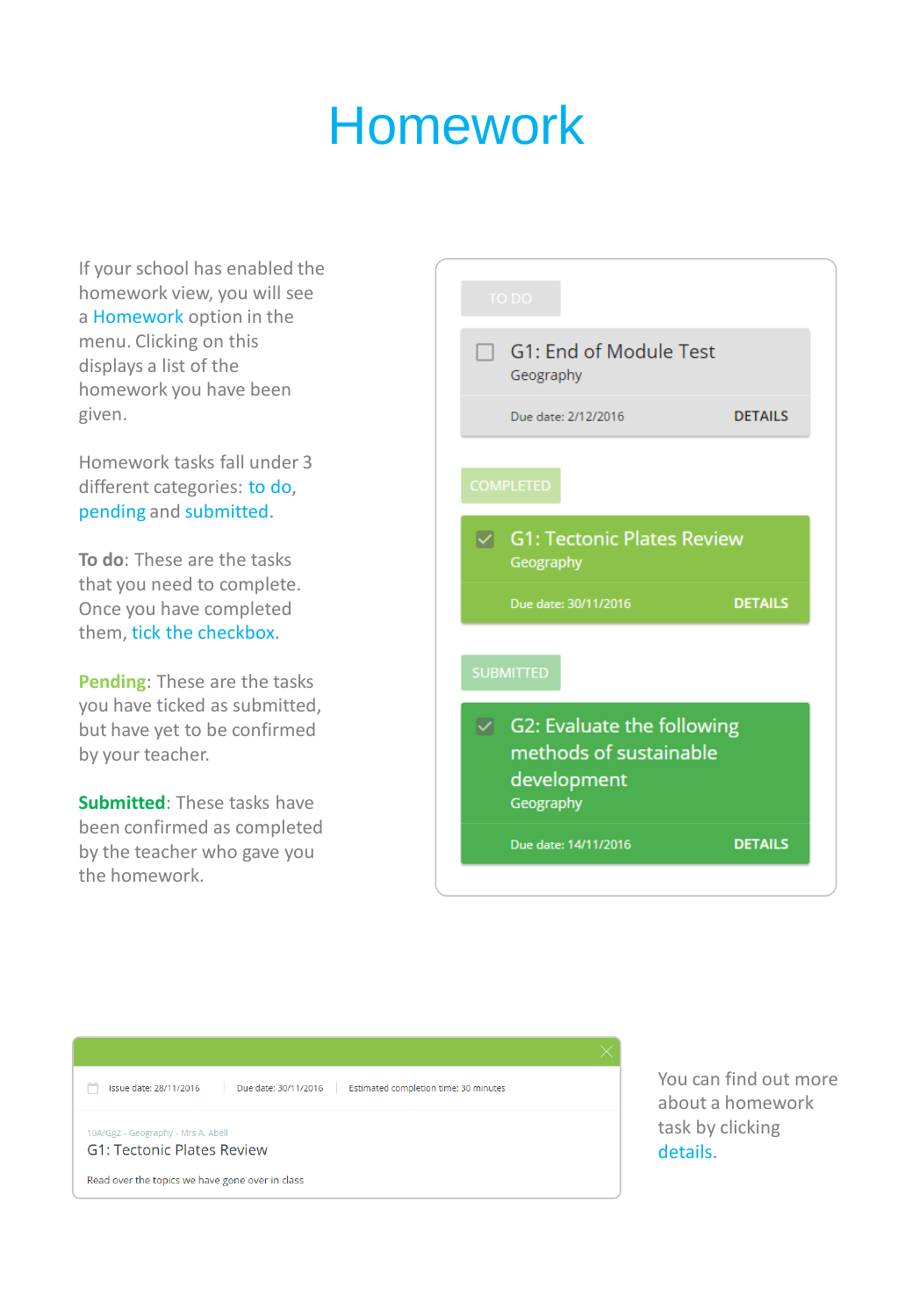### Homework

If your school has enabled the homework view, you will see a Homework option in the menu. Clicking on this displays a list of the homework you have been given.

Homework tasks fall under 3 different categories: to do, pending and submitted.

**To do**: These are the tasks that you need to complete. Once you have completed them, tick the checkbox.

**Pending**: These are the tasks you have ticked as submitted, but have yet to be confirmed by your teacher.

**Submitted**: These tasks have been confirmed as completed by the teacher who gave you the homework.

| <b>TO DO</b>                                                                     |                |
|----------------------------------------------------------------------------------|----------------|
| $\Box$ G1: End of Module Test<br>Geography                                       |                |
| Due date: 2/12/2016                                                              | <b>DETAILS</b> |
| <b>COMPLETED</b>                                                                 |                |
| <b>G1: Tectonic Plates Review</b><br>Geography                                   |                |
|                                                                                  |                |
| Due date: 30/11/2016                                                             | <b>DETAILS</b> |
| <b>SUBMITTED</b>                                                                 |                |
| G2: Evaluate the following<br>methods of sustainable<br>development<br>Geography |                |
| Due date: 14/11/2016                                                             | <b>DETAILS</b> |



You can find out more about a homework task by clicking details.